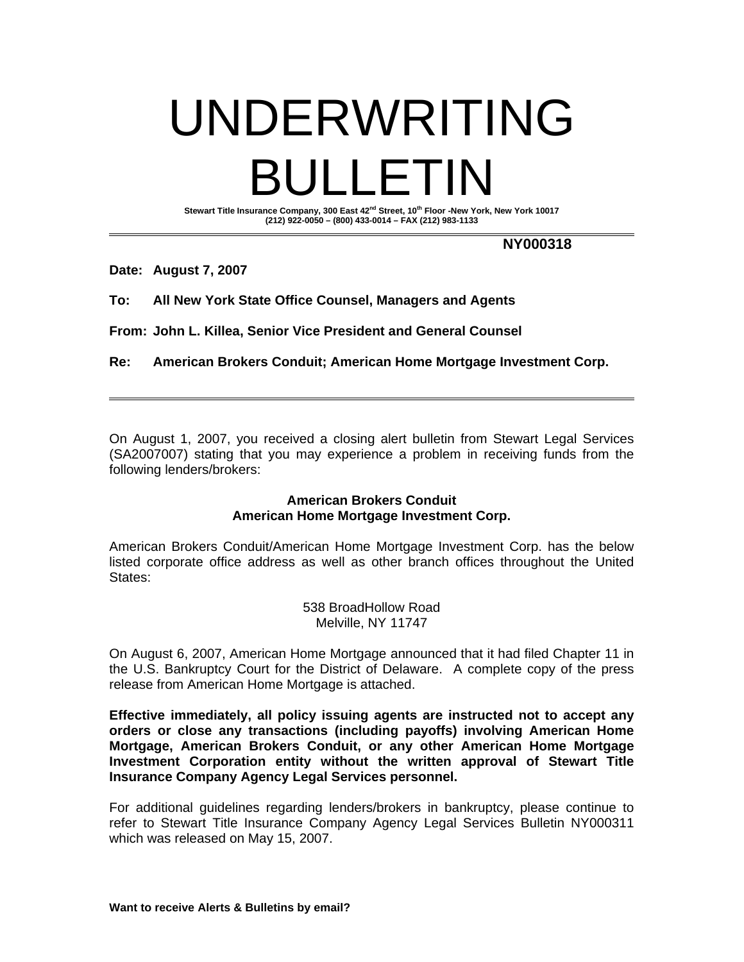## UNDERWRITING BULLETIN

Stewart Title Insurance Company, 300 East 42<sup>nd</sup> Street, 10<sup>th</sup> Floor -New York, New York 10017 **(212) 922-0050 – (800) 433-0014 – FAX (212) 983-1133** 

**NY000318** 

**Date: August 7, 2007** 

**To: All New York State Office Counsel, Managers and Agents** 

**From: John L. Killea, Senior Vice President and General Counsel** 

**Re: American Brokers Conduit; American Home Mortgage Investment Corp.** 

On August 1, 2007, you received a closing alert bulletin from Stewart Legal Services (SA2007007) stating that you may experience a problem in receiving funds from the following lenders/brokers:

## **American Brokers Conduit American Home Mortgage Investment Corp.**

American Brokers Conduit/American Home Mortgage Investment Corp. has the below listed corporate office address as well as other branch offices throughout the United States:

> 538 BroadHollow Road Melville, NY 11747

On August 6, 2007, American Home Mortgage announced that it had filed Chapter 11 in the U.S. Bankruptcy Court for the District of Delaware. A complete copy of the press release from American Home Mortgage is attached.

**Effective immediately, all policy issuing agents are instructed not to accept any orders or close any transactions (including payoffs) involving American Home Mortgage, American Brokers Conduit, or any other American Home Mortgage Investment Corporation entity without the written approval of Stewart Title Insurance Company Agency Legal Services personnel.** 

For additional guidelines regarding lenders/brokers in bankruptcy, please continue to refer to Stewart Title Insurance Company Agency Legal Services Bulletin NY000311 which was released on May 15, 2007.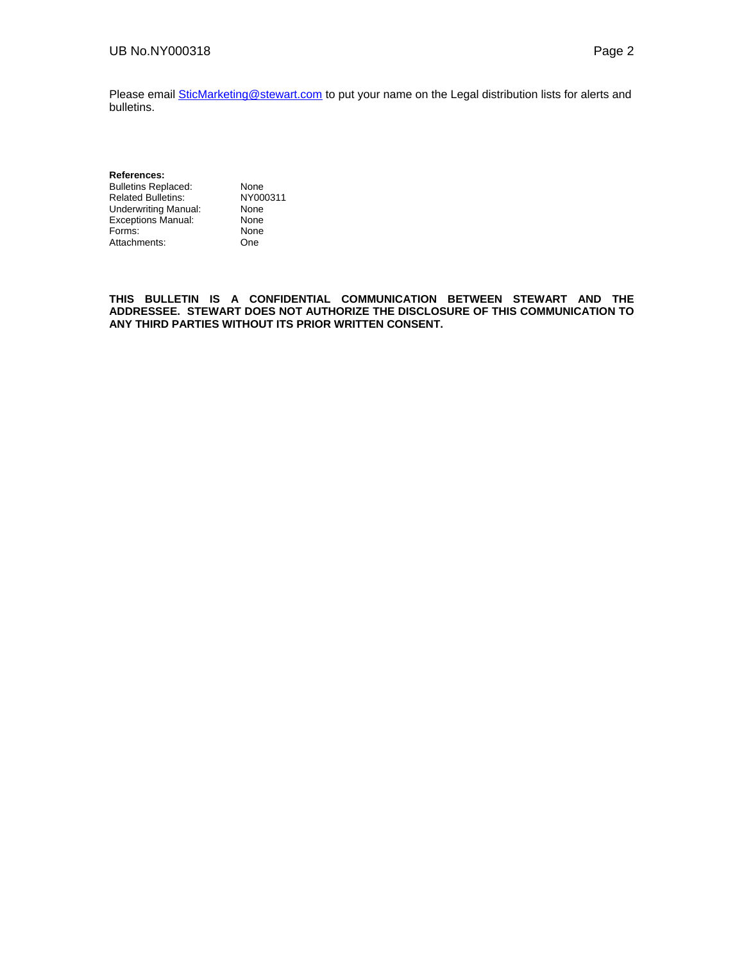Please email **SticMarketing@stewart.com** to put your name on the Legal distribution lists for alerts and bulletins.

**References:**  Bulletins Replaced: None<br>
Related Bulletins: NY000311 Related Bulletins: NY000<br>
Underwriting Manual: None Underwriting Manual: None<br>Exceptions Manual: None Exceptions Manual: None<br>
Forms: None Forms: Attachments: One

**THIS BULLETIN IS A CONFIDENTIAL COMMUNICATION BETWEEN STEWART AND THE ADDRESSEE. STEWART DOES NOT AUTHORIZE THE DISCLOSURE OF THIS COMMUNICATION TO ANY THIRD PARTIES WITHOUT ITS PRIOR WRITTEN CONSENT.**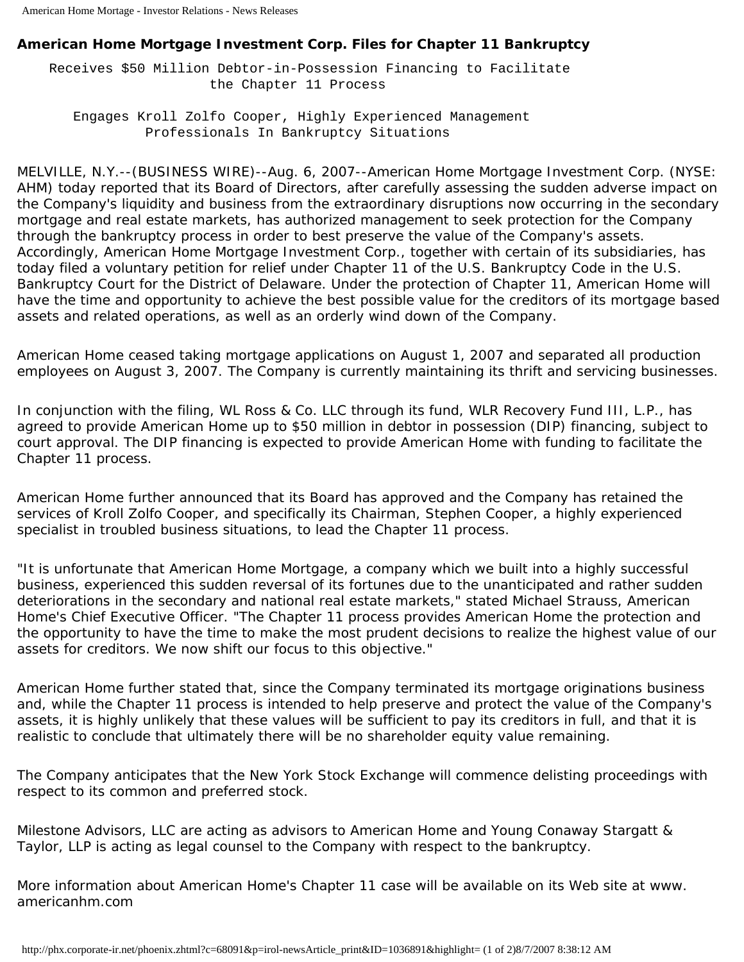## **American Home Mortgage Investment Corp. Files for Chapter 11 Bankruptcy**

 Receives \$50 Million Debtor-in-Possession Financing to Facilitate the Chapter 11 Process

 Engages Kroll Zolfo Cooper, Highly Experienced Management Professionals In Bankruptcy Situations

MELVILLE, N.Y.--(BUSINESS WIRE)--Aug. 6, 2007--American Home Mortgage Investment Corp. (NYSE: AHM) today reported that its Board of Directors, after carefully assessing the sudden adverse impact on the Company's liquidity and business from the extraordinary disruptions now occurring in the secondary mortgage and real estate markets, has authorized management to seek protection for the Company through the bankruptcy process in order to best preserve the value of the Company's assets. Accordingly, American Home Mortgage Investment Corp., together with certain of its subsidiaries, has today filed a voluntary petition for relief under Chapter 11 of the U.S. Bankruptcy Code in the U.S. Bankruptcy Court for the District of Delaware. Under the protection of Chapter 11, American Home will have the time and opportunity to achieve the best possible value for the creditors of its mortgage based assets and related operations, as well as an orderly wind down of the Company.

American Home ceased taking mortgage applications on August 1, 2007 and separated all production employees on August 3, 2007. The Company is currently maintaining its thrift and servicing businesses.

In conjunction with the filing, WL Ross & Co. LLC through its fund, WLR Recovery Fund III, L.P., has agreed to provide American Home up to \$50 million in debtor in possession (DIP) financing, subject to court approval. The DIP financing is expected to provide American Home with funding to facilitate the Chapter 11 process.

American Home further announced that its Board has approved and the Company has retained the services of Kroll Zolfo Cooper, and specifically its Chairman, Stephen Cooper, a highly experienced specialist in troubled business situations, to lead the Chapter 11 process.

"It is unfortunate that American Home Mortgage, a company which we built into a highly successful business, experienced this sudden reversal of its fortunes due to the unanticipated and rather sudden deteriorations in the secondary and national real estate markets," stated Michael Strauss, American Home's Chief Executive Officer. "The Chapter 11 process provides American Home the protection and the opportunity to have the time to make the most prudent decisions to realize the highest value of our assets for creditors. We now shift our focus to this objective."

American Home further stated that, since the Company terminated its mortgage originations business and, while the Chapter 11 process is intended to help preserve and protect the value of the Company's assets, it is highly unlikely that these values will be sufficient to pay its creditors in full, and that it is realistic to conclude that ultimately there will be no shareholder equity value remaining.

The Company anticipates that the New York Stock Exchange will commence delisting proceedings with respect to its common and preferred stock.

Milestone Advisors, LLC are acting as advisors to American Home and Young Conaway Stargatt & Taylor, LLP is acting as legal counsel to the Company with respect to the bankruptcy.

More information about American Home's Chapter 11 case will be available on its Web site at www. americanhm.com